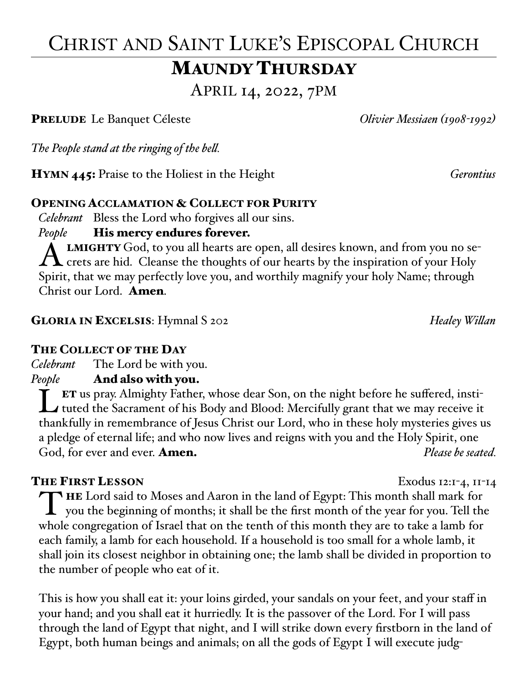# CHRIST AND SAINT LUKE'S EPISCOPAL CHURCH MAUNDY THURSDAY

APRIL 14, 2022, 7PM

PRELUDE Le Banquet Céleste *Olivier Messiaen (1908-1992)*

*The People stand at the ringing of the bell.*

HYMN 445: Praise to the Holiest in the Height *Gerontius*

### OPENING ACCLAMATION & COLLECT FOR PURITY

 *Celebrant* Bless the Lord who forgives all our sins.

## *People* **His mercy endures forever.**

ALMIGHTY God, to you all hearts are open, all desires known, and from you no se-<br>crets are hid. Cleanse the thoughts of our hearts by the inspiration of your Holy Spirit, that we may perfectly love you, and worthily magnify your holy Name; through Christ our Lord. Amen.

GLORIA IN EXCELSIS: Hymnal S 202 *Healey Willan*

## THE COLLECT OF THE DAY

*Celebrant* The Lord be with you.

## *People* And also with you.

**LET** us pray. Almighty Father, whose dear Son, on the night before he suffered, instituted the Sacrament of his Body and Blood: Mercifully grant that we may receive it thankfully in remembrance of Jesus Christ our Lord, who in these holy mysteries gives us a pledge of eternal life; and who now lives and reigns with you and the Holy Spirit, one God, for ever and ever. **Amen.** *Please be seated.* 

## THE FIRST LESSON Exodus 12:1-4, 11-14

THE Lord said to Moses and Aaron in the land of Egypt: This month shall mark for<br>you the beginning of months; it shall be the first month of the year for you. Tell the whole congregation of Israel that on the tenth of this month they are to take a lamb for each family, a lamb for each household. If a household is too small for a whole lamb, it shall join its closest neighbor in obtaining one; the lamb shall be divided in proportion to the number of people who eat of it.

This is how you shall eat it: your loins girded, your sandals on your feet, and your staff in your hand; and you shall eat it hurriedly. It is the passover of the Lord. For I will pass through the land of Egypt that night, and I will strike down every firstborn in the land of Egypt, both human beings and animals; on all the gods of Egypt I will execute judg-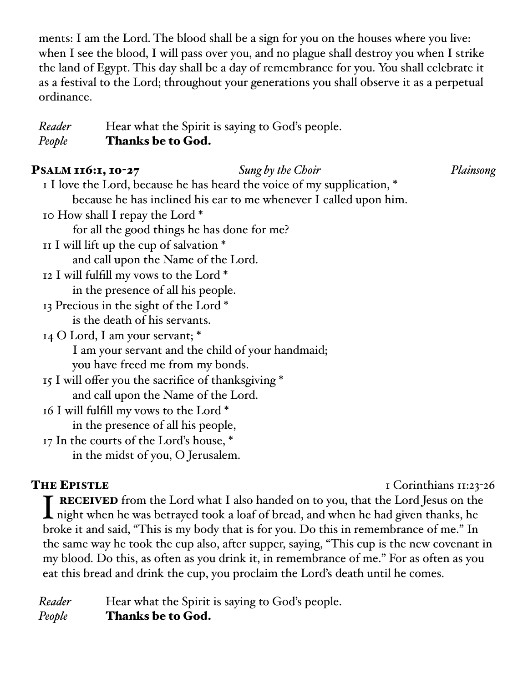ments: I am the Lord. The blood shall be a sign for you on the houses where you live: when I see the blood, I will pass over you, and no plague shall destroy you when I strike the land of Egypt. This day shall be a day of remembrance for you. You shall celebrate it as a festival to the Lord; throughout your generations you shall observe it as a perpetual ordinance.

*Reader* Hear what the Spirit is saying to God's people. *People* Thanks be to God.

## PSALM 116:1, 10-27 *Sung by the Choir Plainsong*

| I love the Lord, because he has heard the voice of my supplication, * |  |
|-----------------------------------------------------------------------|--|
| because he has inclined his ear to me whenever I called upon him.     |  |
| 10 How shall I repay the Lord *                                       |  |
| for all the good things he has done for me?                           |  |
| II I will lift up the cup of salvation $*$                            |  |
| and call upon the Name of the Lord.                                   |  |
| 12 I will fulfill my vows to the Lord *                               |  |
| in the presence of all his people.                                    |  |
| 13 Precious in the sight of the Lord*                                 |  |
| is the death of his servants.                                         |  |
| 14 O Lord, I am your servant; *                                       |  |
| I am your servant and the child of your handmaid;                     |  |
| you have freed me from my bonds.                                      |  |
| 15 I will offer you the sacrifice of thanksgiving *                   |  |
| and call upon the Name of the Lord.                                   |  |
| 16 I will fulfill my vows to the Lord *                               |  |
| in the presence of all his people,                                    |  |
| 17 In the courts of the Lord's house, *                               |  |
| in the midst of you, O Jerusalem.                                     |  |
|                                                                       |  |

THE EPISTLE I Corinthians II:23-26

**I** RECEIVED from the Lord what I also handed on to you, that the Lord Jesus on the hight when he was betrayed took a loaf of bread, and when he had given thanks, he broke it and said, "This is my body that is for you. Do this in remembrance of me." In the same way he took the cup also, after supper, saying, "This cup is the new covenant in my blood. Do this, as often as you drink it, in remembrance of me." For as often as you eat this bread and drink the cup, you proclaim the Lord's death until he comes.

*Reader* Hear what the Spirit is saying to God's people. *People* Thanks be to God.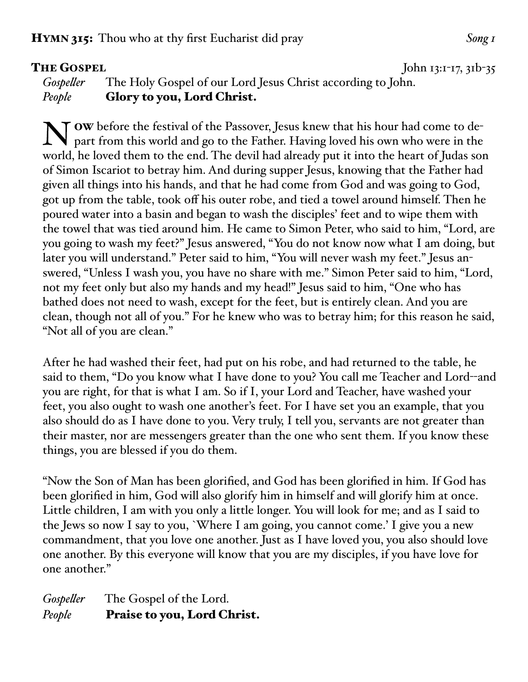**THE GOSPEL** John  $13:1-17, 31b-35$ 

*Gospeller* The Holy Gospel of our Lord Jesus Christ according to John. *People* Glory to you, Lord Christ.

N OW before the festival of the Passover, Jesus knew that his hour had come to depart from this world and go to the Father. Having loved his own who were in the world, he loved them to the end. The devil had already put it into the heart of Judas son of Simon Iscariot to betray him. And during supper Jesus, knowing that the Father had given all things into his hands, and that he had come from God and was going to God, got up from the table, took off his outer robe, and tied a towel around himself. Then he poured water into a basin and began to wash the disciples' feet and to wipe them with the towel that was tied around him. He came to Simon Peter, who said to him, "Lord, are you going to wash my feet?" Jesus answered, "You do not know now what I am doing, but later you will understand." Peter said to him, "You will never wash my feet." Jesus answered, "Unless I wash you, you have no share with me." Simon Peter said to him, "Lord, not my feet only but also my hands and my head!" Jesus said to him, "One who has bathed does not need to wash, except for the feet, but is entirely clean. And you are clean, though not all of you." For he knew who was to betray him; for this reason he said, "Not all of you are clean."

After he had washed their feet, had put on his robe, and had returned to the table, he said to them, "Do you know what I have done to you? You call me Teacher and Lord--and you are right, for that is what I am. So if I, your Lord and Teacher, have washed your feet, you also ought to wash one another's feet. For I have set you an example, that you also should do as I have done to you. Very truly, I tell you, servants are not greater than their master, nor are messengers greater than the one who sent them. If you know these things, you are blessed if you do them.

"Now the Son of Man has been glorified, and God has been glorified in him. If God has been glorified in him, God will also glorify him in himself and will glorify him at once. Little children, I am with you only a little longer. You will look for me; and as I said to the Jews so now I say to you, `Where I am going, you cannot come.' I give you a new commandment, that you love one another. Just as I have loved you, you also should love one another. By this everyone will know that you are my disciples, if you have love for one another."

*Gospeller* The Gospel of the Lord. People Praise to you, Lord Christ.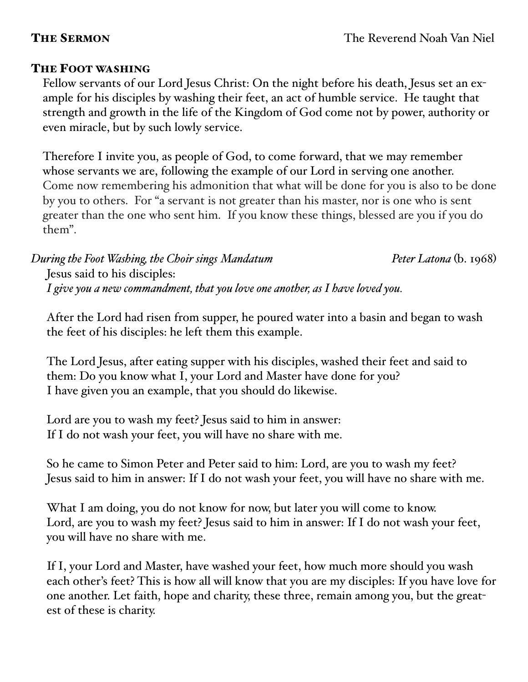## THE FOOT WASHING

Fellow servants of our Lord Jesus Christ: On the night before his death, Jesus set an example for his disciples by washing their feet, an act of humble service. He taught that strength and growth in the life of the Kingdom of God come not by power, authority or even miracle, but by such lowly service.

Therefore I invite you, as people of God, to come forward, that we may remember whose servants we are, following the example of our Lord in serving one another. Come now remembering his admonition that what will be done for you is also to be done by you to others. For "a servant is not greater than his master, nor is one who is sent greater than the one who sent him. If you know these things, blessed are you if you do them".

*During the Foot Washing, the Choir sings Mandatum Peter Latona* (b. 1968) Jesus said to his disciples: *I give you a new commandment, that you love one another, as I have loved you.*

After the Lord had risen from supper, he poured water into a basin and began to wash the feet of his disciples: he left them this example.

The Lord Jesus, after eating supper with his disciples, washed their feet and said to them: Do you know what I, your Lord and Master have done for you? I have given you an example, that you should do likewise.

Lord are you to wash my feet? Jesus said to him in answer: If I do not wash your feet, you will have no share with me.

So he came to Simon Peter and Peter said to him: Lord, are you to wash my feet? Jesus said to him in answer: If I do not wash your feet, you will have no share with me.

What I am doing, you do not know for now, but later you will come to know. Lord, are you to wash my feet? Jesus said to him in answer: If I do not wash your feet, you will have no share with me.

If I, your Lord and Master, have washed your feet, how much more should you wash each other's feet? This is how all will know that you are my disciples: If you have love for one another. Let faith, hope and charity, these three, remain among you, but the greatest of these is charity.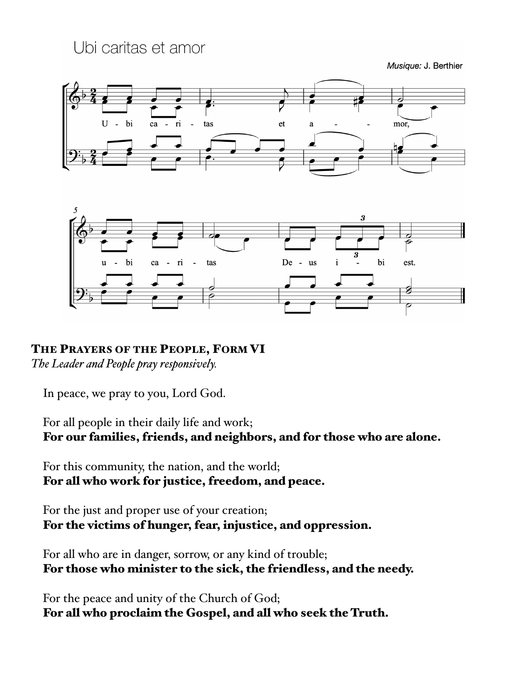Ubi caritas et amor

Musique: J. Berthier





THE PRAYERS OF THE PEOPLE, FORM VI

*The Leader and People pray responsively.*

In peace, we pray to you, Lord God.

For all people in their daily life and work; For our families, friends, and neighbors, and for those who are alone.

For this community, the nation, and the world; For all who work for justice, freedom, and peace.

For the just and proper use of your creation; For the victims of hunger, fear, injustice, and oppression.

For all who are in danger, sorrow, or any kind of trouble; For those who minister to the sick, the friendless, and the needy.

For the peace and unity of the Church of God; For all who proclaim the Gospel, and all who seek the Truth.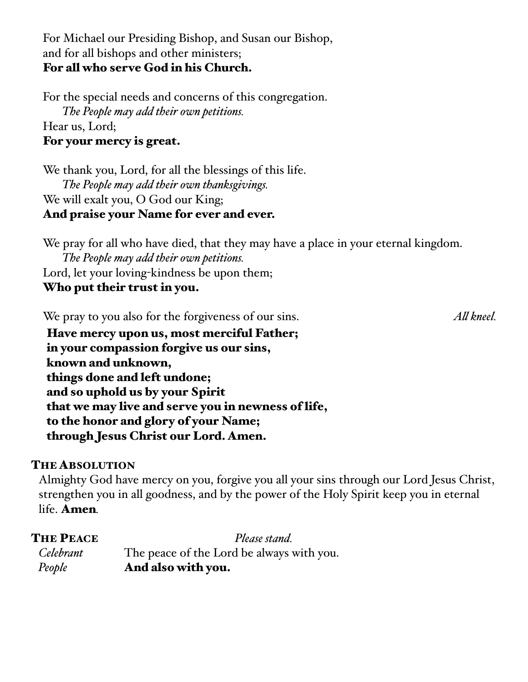### For Michael our Presiding Bishop, and Susan our Bishop, and for all bishops and other ministers; For all who serve God in his Church.

For the special needs and concerns of this congregation. *The People may add their own petitions.* Hear us, Lord; For your mercy is great.

We thank you, Lord, for all the blessings of this life. *The People may add their own thanksgivings.* We will exalt you, O God our King; And praise your Name for ever and ever.

We pray for all who have died, that they may have a place in your eternal kingdom. *The People may add their own petitions.* Lord, let your loving-kindness be upon them; Who put their trust in you.

We pray to you also for the forgiveness of our sins. *All kneel.*

Have mercy upon us, most merciful Father; in your compassion forgive us our sins, known and unknown, things done and left undone; and so uphold us by your Spirit that we may live and serve you in newness of life, to the honor and glory of your Name; through Jesus Christ our Lord. Amen.

### THE ABSOLUTION

Almighty God have mercy on you, forgive you all your sins through our Lord Jesus Christ, strengthen you in all goodness, and by the power of the Holy Spirit keep you in eternal life. Amen*.*

| <b>THE PEACE</b> | Please stand.                             |
|------------------|-------------------------------------------|
| Celebrant        | The peace of the Lord be always with you. |
| People           | And also with you.                        |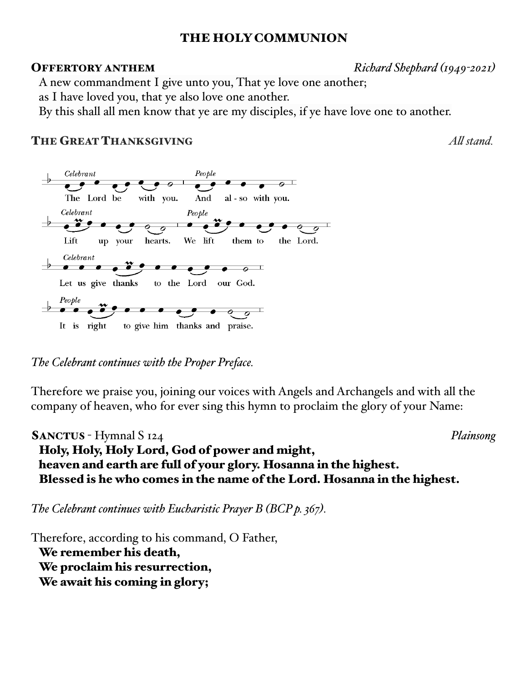### THE HOLY COMMUNION

OFFERTORY ANTHEM *Richard Shephard (1949-2021)*

A new commandment I give unto you, That ye love one another;

as I have loved you, that ye also love one another.

By this shall all men know that ye are my disciples, if ye have love one to another.

### THE GREAT THANKSGIVING *All stand.*



*The Celebrant continues with the Proper Preface.*

Therefore we praise you, joining our voices with Angels and Archangels and with all the company of heaven, who for ever sing this hymn to proclaim the glory of your Name:

SANCTUS - Hymnal S 124 *Plainsong* Holy, Holy, Holy Lord, God of power and might, heaven and earth are full of your glory. Hosanna in the highest. Blessed is he who comes in the name of the Lord. Hosanna in the highest.

*The Celebrant continues with Eucharistic Prayer B (BCP p. 367).*

Therefore, according to his command, O Father, We remember his death, We proclaim his resurrection, We await his coming in glory;